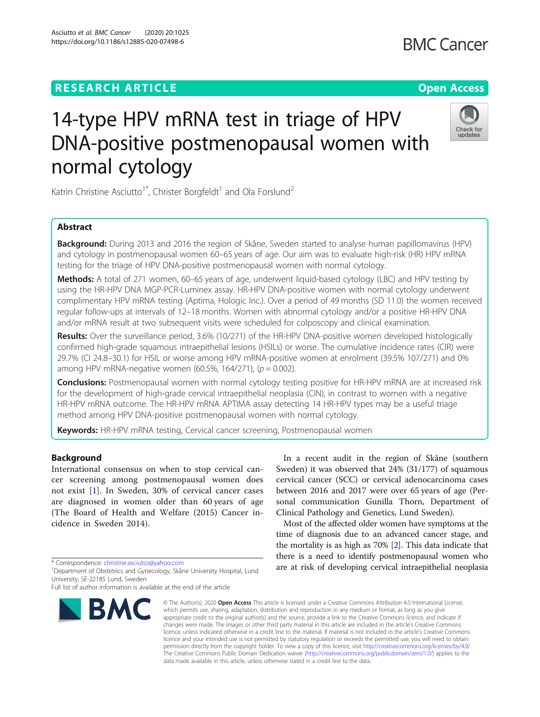# **RESEARCH ARTICLE Example 2014 12:30 The Contract of Contract ACCESS**

# 14-type HPV mRNA test in triage of HPV DNA-positive postmenopausal women with normal cytology

Katrin Christine Asciutto<sup>1\*</sup>, Christer Borgfeldt<sup>1</sup> and Ola Forslund<sup>2</sup>

# Abstract

Background: During 2013 and 2016 the region of Skåne, Sweden started to analyse human papillomavirus (HPV) and cytology in postmenopausal women 60–65 years of age. Our aim was to evaluate high-risk (HR) HPV mRNA testing for the triage of HPV DNA-positive postmenopausal women with normal cytology.

Methods: A total of 271 women, 60–65 years of age, underwent liquid-based cytology (LBC) and HPV testing by using the HR-HPV DNA MGP-PCR-Luminex assay. HR-HPV DNA-positive women with normal cytology underwent complimentary HPV mRNA testing (Aptima, Hologic Inc.). Over a period of 49 months (SD 11.0) the women received regular follow-ups at intervals of 12–18 months. Women with abnormal cytology and/or a positive HR-HPV DNA and/or mRNA result at two subsequent visits were scheduled for colposcopy and clinical examination.

Results: Over the surveillance period, 3.6% (10/271) of the HR-HPV DNA-positive women developed histologically confirmed high-grade squamous intraepithelial lesions (HSILs) or worse. The cumulative incidence rates (CIR) were 29.7% (CI 24.8–30.1) for HSIL or worse among HPV mRNA-positive women at enrolment (39.5% 107/271) and 0% among HPV mRNA-negative women (60.5%, 164/271), ( $p = 0.002$ ).

**Conclusions:** Postmenopausal women with normal cytology testing positive for HR-HPV mRNA are at increased risk for the development of high-grade cervical intraepithelial neoplasia (CIN), in contrast to women with a negative HR-HPV mRNA outcome. The HR-HPV mRNA APTIMA assay detecting 14 HR-HPV types may be a useful triage method among HPV DNA-positive postmenopausal women with normal cytology.

Keywords: HR-HPV mRNA testing, Cervical cancer screening, Postmenopausal women

# Background

International consensus on when to stop cervical cancer screening among postmenopausal women does not exist [[1\]](#page-8-0). In Sweden, 30% of cervical cancer cases are diagnosed in women older than 60 years of age (The Board of Health and Welfare (2015) Cancer incidence in Sweden 2014).

\* Correspondence: [christine.asciutto@yahoo.com](mailto:christine.asciutto@yahoo.com) <sup>1</sup>

# between 2016 and 2017 were over 65 years of age (Personal communication Gunilla Thorn, Department of Clinical Pathology and Genetics, Lund Sweden). Most of the affected older women have symptoms at the

time of diagnosis due to an advanced cancer stage, and the mortality is as high as 70% [\[2](#page-8-0)]. This data indicate that there is a need to identify postmenopausal women who are at risk of developing cervical intraepithelial neoplasia

In a recent audit in the region of Skåne (southern Sweden) it was observed that 24% (31/177) of squamous cervical cancer (SCC) or cervical adenocarcinoma cases

© The Author(s), 2020 **Open Access** This article is licensed under a Creative Commons Attribution 4.0 International License, which permits use, sharing, adaptation, distribution and reproduction in any medium or format, as long as you give appropriate credit to the original author(s) and the source, provide a link to the Creative Commons licence, and indicate if changes were made. The images or other third party material in this article are included in the article's Creative Commons licence, unless indicated otherwise in a credit line to the material. If material is not included in the article's Creative Commons licence and your intended use is not permitted by statutory regulation or exceeds the permitted use, you will need to obtain permission directly from the copyright holder. To view a copy of this licence, visit [http://creativecommons.org/licenses/by/4.0/.](http://creativecommons.org/licenses/by/4.0/) The Creative Commons Public Domain Dedication waiver [\(http://creativecommons.org/publicdomain/zero/1.0/](http://creativecommons.org/publicdomain/zero/1.0/)) applies to the data made available in this article, unless otherwise stated in a credit line to the data.







<sup>&</sup>lt;sup>1</sup> Department of Obstetrics and Gynecology, Skåne University Hospital, Lund University, SE-22185 Lund, Sweden

Full list of author information is available at the end of the article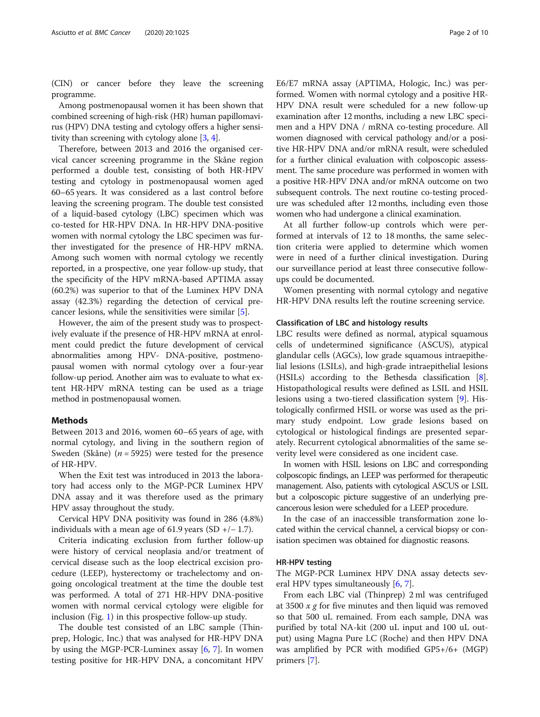(CIN) or cancer before they leave the screening programme.

Among postmenopausal women it has been shown that combined screening of high-risk (HR) human papillomavirus (HPV) DNA testing and cytology offers a higher sensitivity than screening with cytology alone [\[3](#page-8-0), [4\]](#page-8-0).

Therefore, between 2013 and 2016 the organised cervical cancer screening programme in the Skåne region performed a double test, consisting of both HR-HPV testing and cytology in postmenopausal women aged 60–65 years. It was considered as a last control before leaving the screening program. The double test consisted of a liquid-based cytology (LBC) specimen which was co-tested for HR-HPV DNA. In HR-HPV DNA-positive women with normal cytology the LBC specimen was further investigated for the presence of HR-HPV mRNA. Among such women with normal cytology we recently reported, in a prospective, one year follow-up study, that the specificity of the HPV mRNA-based APTIMA assay (60.2%) was superior to that of the Luminex HPV DNA assay (42.3%) regarding the detection of cervical precancer lesions, while the sensitivities were similar [\[5](#page-8-0)].

However, the aim of the present study was to prospectively evaluate if the presence of HR-HPV mRNA at enrolment could predict the future development of cervical abnormalities among HPV- DNA-positive, postmenopausal women with normal cytology over a four-year follow-up period. Another aim was to evaluate to what extent HR-HPV mRNA testing can be used as a triage method in postmenopausal women.

# Methods

Between 2013 and 2016, women 60–65 years of age, with normal cytology, and living in the southern region of Sweden (Skåne) ( $n = 5925$ ) were tested for the presence of HR-HPV.

When the Exit test was introduced in 2013 the laboratory had access only to the MGP-PCR Luminex HPV DNA assay and it was therefore used as the primary HPV assay throughout the study.

Cervical HPV DNA positivity was found in 286 (4.8%) individuals with a mean age of 61.9 years (SD +/- 1.7).

Criteria indicating exclusion from further follow-up were history of cervical neoplasia and/or treatment of cervical disease such as the loop electrical excision procedure (LEEP), hysterectomy or trachelectomy and ongoing oncological treatment at the time the double test was performed. A total of 271 HR-HPV DNA-positive women with normal cervical cytology were eligible for inclusion (Fig. [1](#page-2-0)) in this prospective follow-up study.

The double test consisted of an LBC sample (Thinprep, Hologic, Inc.) that was analysed for HR-HPV DNA by using the MGP-PCR-Luminex assay [[6,](#page-8-0) [7\]](#page-8-0). In women testing positive for HR-HPV DNA, a concomitant HPV E6/E7 mRNA assay (APTIMA, Hologic, Inc.) was performed. Women with normal cytology and a positive HR-HPV DNA result were scheduled for a new follow-up examination after 12 months, including a new LBC specimen and a HPV DNA / mRNA co-testing procedure. All women diagnosed with cervical pathology and/or a positive HR-HPV DNA and/or mRNA result, were scheduled for a further clinical evaluation with colposcopic assessment. The same procedure was performed in women with a positive HR-HPV DNA and/or mRNA outcome on two subsequent controls. The next routine co-testing procedure was scheduled after 12 months, including even those women who had undergone a clinical examination.

At all further follow-up controls which were performed at intervals of 12 to 18 months, the same selection criteria were applied to determine which women were in need of a further clinical investigation. During our surveillance period at least three consecutive followups could be documented.

Women presenting with normal cytology and negative HR-HPV DNA results left the routine screening service.

### Classification of LBC and histology results

LBC results were defined as normal, atypical squamous cells of undetermined significance (ASCUS), atypical glandular cells (AGCs), low grade squamous intraepithelial lesions (LSILs), and high-grade intraepithelial lesions (HSILs) according to the Bethesda classification  $[8]$  $[8]$ . Histopathological results were defined as LSIL and HSIL lesions using a two-tiered classification system [[9\]](#page-8-0). Histologically confirmed HSIL or worse was used as the primary study endpoint. Low grade lesions based on cytological or histological findings are presented separately. Recurrent cytological abnormalities of the same severity level were considered as one incident case.

In women with HSIL lesions on LBC and corresponding colposcopic findings, an LEEP was performed for therapeutic management. Also, patients with cytological ASCUS or LSIL but a colposcopic picture suggestive of an underlying precancerous lesion were scheduled for a LEEP procedure.

In the case of an inaccessible transformation zone located within the cervical channel, a cervical biopsy or conisation specimen was obtained for diagnostic reasons.

# HR-HPV testing

The MGP-PCR Luminex HPV DNA assay detects several HPV types simultaneously  $[6, 7]$  $[6, 7]$  $[6, 7]$  $[6, 7]$ .

From each LBC vial (Thinprep) 2 ml was centrifuged at 3500  $x$  g for five minutes and then liquid was removed so that 500 uL remained. From each sample, DNA was purified by total NA-kit (200 uL input and 100 uL output) using Magna Pure LC (Roche) and then HPV DNA was amplified by PCR with modified GP5+/6+ (MGP) primers [\[7](#page-8-0)].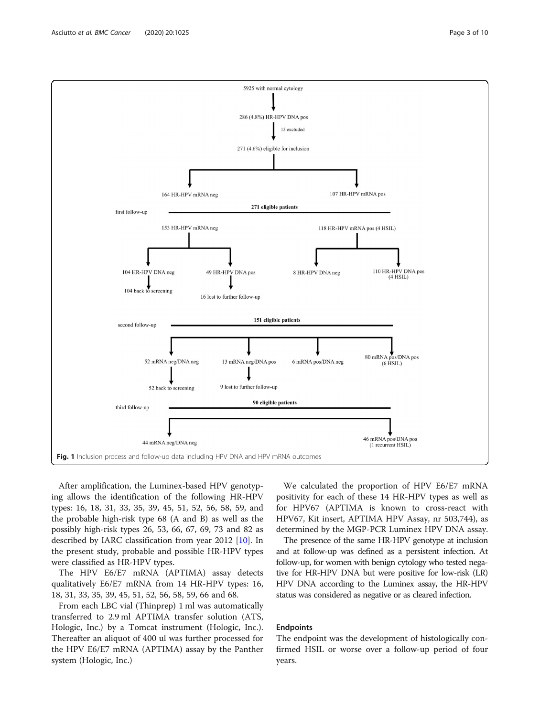After amplification, the Luminex-based HPV genotyping allows the identification of the following HR-HPV types: 16, 18, 31, 33, 35, 39, 45, 51, 52, 56, 58, 59, and the probable high-risk type 68 (A and B) as well as the possibly high-risk types 26, 53, 66, 67, 69, 73 and 82 as described by IARC classification from year 2012 [\[10](#page-9-0)]. In the present study, probable and possible HR-HPV types were classified as HR-HPV types.

The HPV E6/E7 mRNA (APTIMA) assay detects qualitatively E6/E7 mRNA from 14 HR-HPV types: 16, 18, 31, 33, 35, 39, 45, 51, 52, 56, 58, 59, 66 and 68.

From each LBC vial (Thinprep) 1 ml was automatically transferred to 2.9 ml APTIMA transfer solution (ATS, Hologic, Inc.) by a Tomcat instrument (Hologic, Inc.). Thereafter an aliquot of 400 ul was further processed for the HPV E6/E7 mRNA (APTIMA) assay by the Panther system (Hologic, Inc.)

We calculated the proportion of HPV E6/E7 mRNA positivity for each of these 14 HR-HPV types as well as for HPV67 (APTIMA is known to cross-react with HPV67, Kit insert, APTIMA HPV Assay, nr 503,744), as determined by the MGP-PCR Luminex HPV DNA assay.

The presence of the same HR-HPV genotype at inclusion and at follow-up was defined as a persistent infection. At follow-up, for women with benign cytology who tested negative for HR-HPV DNA but were positive for low-risk (LR) HPV DNA according to the Luminex assay, the HR-HPV status was considered as negative or as cleared infection.

# Endpoints

The endpoint was the development of histologically confirmed HSIL or worse over a follow-up period of four years.

<span id="page-2-0"></span>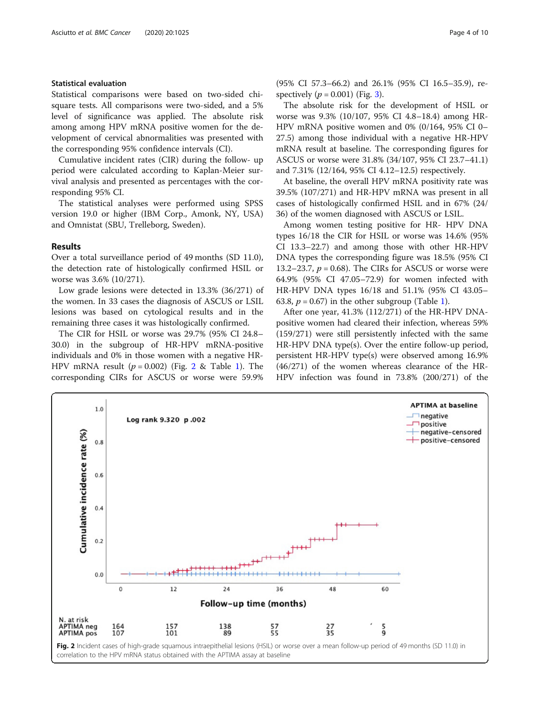# Statistical evaluation

Statistical comparisons were based on two-sided chisquare tests. All comparisons were two-sided, and a 5% level of significance was applied. The absolute risk among among HPV mRNA positive women for the development of cervical abnormalities was presented with the corresponding 95% confidence intervals (CI).

Cumulative incident rates (CIR) during the follow- up period were calculated according to Kaplan-Meier survival analysis and presented as percentages with the corresponding 95% CI.

The statistical analyses were performed using SPSS version 19.0 or higher (IBM Corp., Amonk, NY, USA) and Omnistat (SBU, Trelleborg, Sweden).

## Results

Over a total surveillance period of 49 months (SD 11.0), the detection rate of histologically confirmed HSIL or worse was 3.6% (10/271).

Low grade lesions were detected in 13.3% (36/271) of the women. In 33 cases the diagnosis of ASCUS or LSIL lesions was based on cytological results and in the remaining three cases it was histologically confirmed.

The CIR for HSIL or worse was 29.7% (95% CI 24.8– 30.0) in the subgroup of HR-HPV mRNA-positive individuals and 0% in those women with a negative HR-HPV mRNA result  $(p = 0.002)$  (Fig. 2 & Table [1](#page-4-0)). The corresponding CIRs for ASCUS or worse were 59.9%

(95% CI 57.3–66.2) and 26.1% (95% CI 16.5–35.9), respectively  $(p = 0.001)$  (Fig. [3](#page-4-0)).

The absolute risk for the development of HSIL or worse was 9.3% (10/107, 95% CI 4.8–18.4) among HR-HPV mRNA positive women and 0% (0/164, 95% CI 0– 27.5) among those individual with a negative HR-HPV mRNA result at baseline. The corresponding figures for ASCUS or worse were 31.8% (34/107, 95% CI 23.7–41.1) and 7.31% (12/164, 95% CI 4.12–12.5) respectively.

At baseline, the overall HPV mRNA positivity rate was 39.5% (107/271) and HR-HPV mRNA was present in all cases of histologically confirmed HSIL and in 67% (24/ 36) of the women diagnosed with ASCUS or LSIL.

Among women testing positive for HR- HPV DNA types 16/18 the CIR for HSIL or worse was 14.6% (95% CI 13.3–22.7) and among those with other HR-HPV DNA types the corresponding figure was 18.5% (95% CI 13.2–23.7,  $p = 0.68$ ). The CIRs for ASCUS or worse were 64.9% (95% CI 47.05–72.9) for women infected with HR-HPV DNA types 16/18 and 51.1% (95% CI 43.05– 63.8,  $p = 0.67$ ) in the other subgroup (Table [1\)](#page-4-0).

After one year, 41.3% (112/271) of the HR-HPV DNApositive women had cleared their infection, whereas 59% (159/271) were still persistently infected with the same HR-HPV DNA type(s). Over the entire follow-up period, persistent HR-HPV type(s) were observed among 16.9% (46/271) of the women whereas clearance of the HR-HPV infection was found in 73.8% (200/271) of the

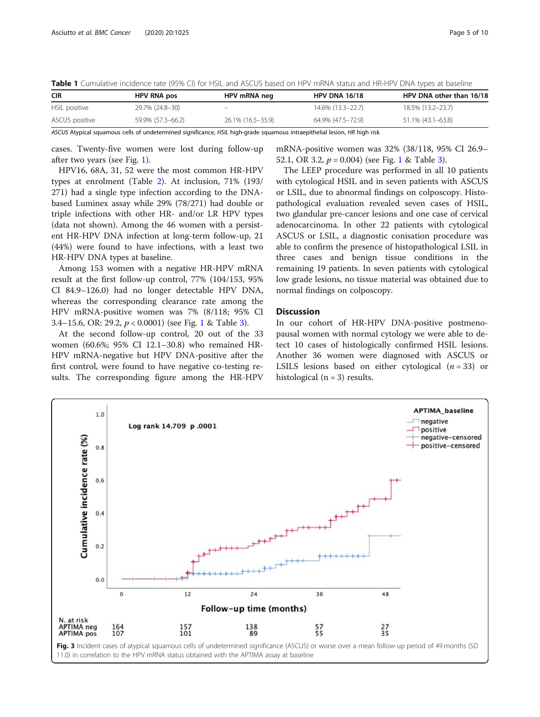<span id="page-4-0"></span>Table 1 Cumulative incidence rate (95% CI) for HSIL and ASCUS based on HPV mRNA status and HR-HPV DNA types at baseline

| <b>CIR</b>     | <b>HPV RNA pos</b> | HPV mRNA neg             | <b>HPV DNA 16/18</b> | HPV DNA other than 16/18 |
|----------------|--------------------|--------------------------|----------------------|--------------------------|
| HSIL positive  | 29.7% (24.8–30)    | $\overline{\phantom{0}}$ | 14.6% (13.3–22.7)    | 18.5% (13.2–23.7)        |
| ASCUS positive | 59.9% (57.3–66.2)  | 26.1% (16.5–35.9)        | 64.9% (47.5-72.9)    | 51.1% (43.1–63.8)        |

ASCUS Atypical squamous cells of undetermined significance, HSIL high-grade squamous intraepithelial lesion, HR high risk

cases. Twenty-five women were lost during follow-up after two years (see Fig. [1\)](#page-2-0).

HPV16, 68A, 31, 52 were the most common HR-HPV types at enrolment (Table [2](#page-5-0)). At inclusion, 71% (193/ 271) had a single type infection according to the DNAbased Luminex assay while 29% (78/271) had double or triple infections with other HR- and/or LR HPV types (data not shown). Among the 46 women with a persistent HR-HPV DNA infection at long-term follow-up, 21 (44%) were found to have infections, with a least two HR-HPV DNA types at baseline.

Among 153 women with a negative HR-HPV mRNA result at the first follow-up control, 77% (104/153, 95% CI 84.9–126.0) had no longer detectable HPV DNA, whereas the corresponding clearance rate among the HPV mRNA-positive women was 7% (8/118; 95% CI 3.4–15.6, OR: 29.2, p < 0.0001) (see Fig. [1](#page-2-0) & Table [3](#page-5-0)).

At the second follow-up control, 20 out of the 33 women (60.6%; 95% CI 12.1–30.8) who remained HR-HPV mRNA-negative but HPV DNA-positive after the first control, were found to have negative co-testing results. The corresponding figure among the HR-HPV mRNA-positive women was 32% (38/118, 95% CI 26.9– 52.[1](#page-2-0), OR 3.2,  $p = 0.004$ ) (see Fig. 1 & Table [3\)](#page-5-0).

The LEEP procedure was performed in all 10 patients with cytological HSIL and in seven patients with ASCUS or LSIL, due to abnormal findings on colposcopy. Histopathological evaluation revealed seven cases of HSIL, two glandular pre-cancer lesions and one case of cervical adenocarcinoma. In other 22 patients with cytological ASCUS or LSIL, a diagnostic conisation procedure was able to confirm the presence of histopathological LSIL in three cases and benign tissue conditions in the remaining 19 patients. In seven patients with cytological low grade lesions, no tissue material was obtained due to normal findings on colposcopy.

## **Discussion**

In our cohort of HR-HPV DNA-positive postmenopausal women with normal cytology we were able to detect 10 cases of histologically confirmed HSIL lesions. Another 36 women were diagnosed with ASCUS or LSILS lesions based on either cytological  $(n = 33)$  or histological  $(n = 3)$  results.



11.0) in correlation to the HPV mRNA status obtained with the APTIMA assay at baseline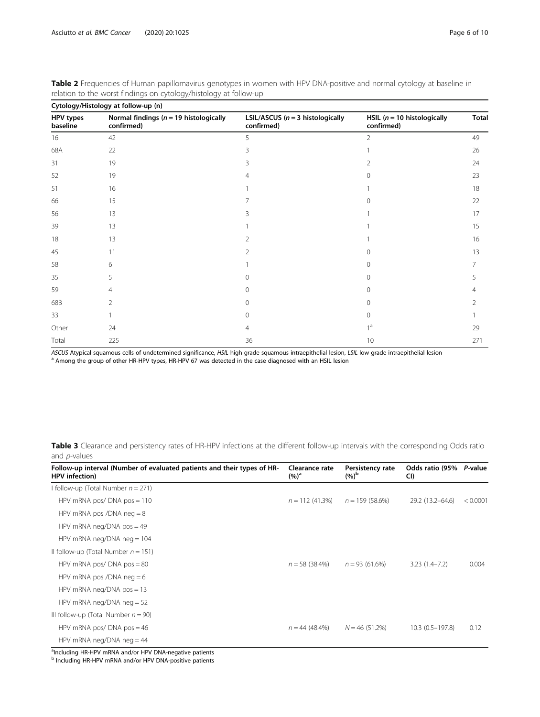| Cytology/Histology at follow-up (n) |                                                         |                                                   |                                              |              |  |  |  |
|-------------------------------------|---------------------------------------------------------|---------------------------------------------------|----------------------------------------------|--------------|--|--|--|
| HPV types<br>baseline               | Normal findings ( $n = 19$ histologically<br>confirmed) | LSIL/ASCUS ( $n = 3$ histologically<br>confirmed) | HSIL ( $n = 10$ histologically<br>confirmed) | <b>Total</b> |  |  |  |
| 16                                  | 42                                                      | 5                                                 | $\overline{2}$                               | 49           |  |  |  |
| 68A                                 | 22                                                      | 3                                                 |                                              | 26           |  |  |  |
| 31                                  | 19                                                      | 3                                                 | 2                                            | 24           |  |  |  |
| 52                                  | 19                                                      |                                                   | $\mathbf{0}$                                 | 23           |  |  |  |
| 51                                  | 16                                                      |                                                   |                                              | 18           |  |  |  |
| 66                                  | 15                                                      |                                                   |                                              | 22           |  |  |  |
| 56                                  | 13                                                      | 3                                                 |                                              | 17           |  |  |  |
| 39                                  | 13                                                      |                                                   |                                              | 15           |  |  |  |
| 18                                  | 13                                                      | 2                                                 |                                              | 16           |  |  |  |
| 45                                  | 11                                                      | 2                                                 | $\Omega$                                     | 13           |  |  |  |
| 58                                  | 6                                                       |                                                   | 0                                            | 7            |  |  |  |
| 35                                  | 5                                                       | 0                                                 | $\Omega$                                     | 5            |  |  |  |
| 59                                  | 4                                                       | $\cap$                                            | $\mathbf{0}$                                 | 4            |  |  |  |
| 68B                                 | 2                                                       | ∩                                                 | $\Omega$                                     | 2            |  |  |  |
| 33                                  |                                                         | 0                                                 | $\mathbf{0}$                                 |              |  |  |  |
| Other                               | 24                                                      | 4                                                 | 1 <sup>a</sup>                               | 29           |  |  |  |
| Total                               | 225                                                     | 36                                                | 10                                           | 271          |  |  |  |

<span id="page-5-0"></span>Table 2 Frequencies of Human papillomavirus genotypes in women with HPV DNA-positive and normal cytology at baseline in relation to the worst findings on cytology/histology at follow-up

ASCUS Atypical squamous cells of undetermined significance, HSIL high-grade squamous intraepithelial lesion, LSIL low grade intraepithelial lesion a Boton is a more intraepithelial lesion and a more intraepithelial lesion

Table 3 Clearance and persistency rates of HR-HPV infections at the different follow-up intervals with the corresponding Odds ratio and p-values

| Follow-up interval (Number of evaluated patients and their types of HR-<br><b>HPV</b> infection) | Clearance rate<br>$(%)^a$ | Persistency rate<br>$(%)^b$ | Odds ratio (95% P-value<br>CI) |          |
|--------------------------------------------------------------------------------------------------|---------------------------|-----------------------------|--------------------------------|----------|
| I follow-up (Total Number $n = 271$ )                                                            |                           |                             |                                |          |
| HPV mRNA pos/ $DMA$ pos = 110                                                                    | $n = 112(41.3%)$          | $n = 159(58.6\%)$           | 29.2 (13.2-64.6)               | < 0.0001 |
| HPV mRNA pos /DNA neg $= 8$                                                                      |                           |                             |                                |          |
| HPV mRNA neg/DNA $pos = 49$                                                                      |                           |                             |                                |          |
| HPV mRNA neg/DNA neg $= 104$                                                                     |                           |                             |                                |          |
| Il follow-up (Total Number $n = 151$ )                                                           |                           |                             |                                |          |
| HPV mRNA pos/ DNA pos $= 80$                                                                     | $n = 58(38.4\%)$          | $n = 93(61.6%)$             | $3.23(1.4 - 7.2)$              | 0.004    |
| HPV mRNA pos /DNA neg $= 6$                                                                      |                           |                             |                                |          |
| HPV mRNA neg/DNA $pos = 13$                                                                      |                           |                             |                                |          |
| HPV mRNA neg/DNA neg $=$ 52                                                                      |                           |                             |                                |          |
| III follow-up (Total Number $n = 90$ )                                                           |                           |                             |                                |          |
| HPV mRNA pos/ DNA pos $=$ 46                                                                     | $n = 44(48.4\%)$          | $N = 46(51.2%)$             | $10.3(0.5-197.8)$              | 0.12     |
| HPV mRNA neg/DNA neg $=$ 44                                                                      |                           |                             |                                |          |

<sup>a</sup>Including HR-HPV mRNA and/or HPV DNA-negative patients

b Including HR-HPV mRNA and/or HPV DNA-positive patients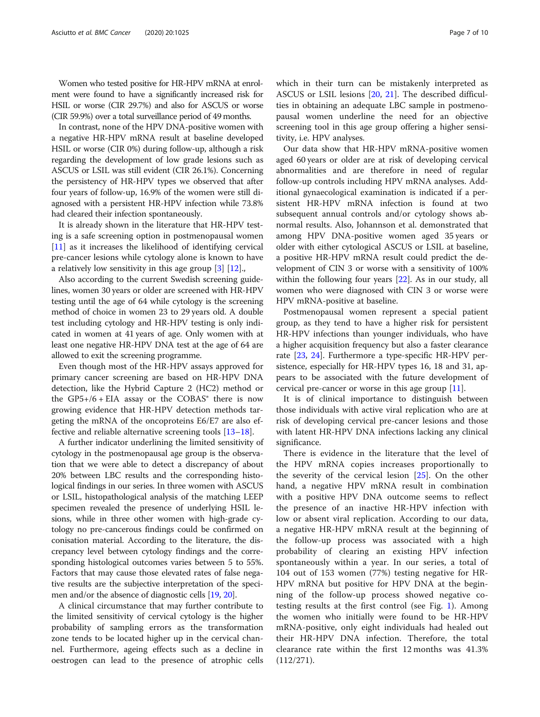Women who tested positive for HR-HPV mRNA at enrolment were found to have a significantly increased risk for HSIL or worse (CIR 29.7%) and also for ASCUS or worse (CIR 59.9%) over a total surveillance period of 49 months.

In contrast, none of the HPV DNA-positive women with a negative HR-HPV mRNA result at baseline developed HSIL or worse (CIR 0%) during follow-up, although a risk regarding the development of low grade lesions such as ASCUS or LSIL was still evident (CIR 26.1%). Concerning the persistency of HR-HPV types we observed that after four years of follow-up, 16.9% of the women were still diagnosed with a persistent HR-HPV infection while 73.8% had cleared their infection spontaneously.

It is already shown in the literature that HR-HPV testing is a safe screening option in postmenopausal women [[11\]](#page-9-0) as it increases the likelihood of identifying cervical pre-cancer lesions while cytology alone is known to have a relatively low sensitivity in this age group [[3](#page-8-0)] [[12\]](#page-9-0).,

Also according to the current Swedish screening guidelines, women 30 years or older are screened with HR-HPV testing until the age of 64 while cytology is the screening method of choice in women 23 to 29 years old. A double test including cytology and HR-HPV testing is only indicated in women at 41 years of age. Only women with at least one negative HR-HPV DNA test at the age of 64 are allowed to exit the screening programme.

Even though most of the HR-HPV assays approved for primary cancer screening are based on HR-HPV DNA detection, like the Hybrid Capture 2 (HC2) method or the  $GP5+/6 + EIA$  assay or the COBAS<sup>®</sup> there is now growing evidence that HR-HPV detection methods targeting the mRNA of the oncoproteins E6/E7 are also effective and reliable alternative screening tools [[13](#page-9-0)–[18](#page-9-0)].

A further indicator underlining the limited sensitivity of cytology in the postmenopausal age group is the observation that we were able to detect a discrepancy of about 20% between LBC results and the corresponding histological findings in our series. In three women with ASCUS or LSIL, histopathological analysis of the matching LEEP specimen revealed the presence of underlying HSIL lesions, while in three other women with high-grade cytology no pre-cancerous findings could be confirmed on conisation material. According to the literature, the discrepancy level between cytology findings and the corresponding histological outcomes varies between 5 to 55%. Factors that may cause those elevated rates of false negative results are the subjective interpretation of the specimen and/or the absence of diagnostic cells [\[19,](#page-9-0) [20](#page-9-0)].

A clinical circumstance that may further contribute to the limited sensitivity of cervical cytology is the higher probability of sampling errors as the transformation zone tends to be located higher up in the cervical channel. Furthermore, ageing effects such as a decline in oestrogen can lead to the presence of atrophic cells which in their turn can be mistakenly interpreted as ASCUS or LSIL lesions [\[20](#page-9-0), [21](#page-9-0)]. The described difficulties in obtaining an adequate LBC sample in postmenopausal women underline the need for an objective screening tool in this age group offering a higher sensitivity, i.e. HPV analyses.

Our data show that HR-HPV mRNA-positive women aged 60 years or older are at risk of developing cervical abnormalities and are therefore in need of regular follow-up controls including HPV mRNA analyses. Additional gynaecological examination is indicated if a persistent HR-HPV mRNA infection is found at two subsequent annual controls and/or cytology shows abnormal results. Also, Johannson et al. demonstrated that among HPV DNA-positive women aged 35 years or older with either cytological ASCUS or LSIL at baseline, a positive HR-HPV mRNA result could predict the development of CIN 3 or worse with a sensitivity of 100% within the following four years [[22](#page-9-0)]. As in our study, all women who were diagnosed with CIN 3 or worse were HPV mRNA-positive at baseline.

Postmenopausal women represent a special patient group, as they tend to have a higher risk for persistent HR-HPV infections than younger individuals, who have a higher acquisition frequency but also a faster clearance rate [\[23](#page-9-0), [24\]](#page-9-0). Furthermore a type-specific HR-HPV persistence, especially for HR-HPV types 16, 18 and 31, appears to be associated with the future development of cervical pre-cancer or worse in this age group [[11\]](#page-9-0).

It is of clinical importance to distinguish between those individuals with active viral replication who are at risk of developing cervical pre-cancer lesions and those with latent HR-HPV DNA infections lacking any clinical significance.

There is evidence in the literature that the level of the HPV mRNA copies increases proportionally to the severity of the cervical lesion [[25\]](#page-9-0). On the other hand, a negative HPV mRNA result in combination with a positive HPV DNA outcome seems to reflect the presence of an inactive HR-HPV infection with low or absent viral replication. According to our data, a negative HR-HPV mRNA result at the beginning of the follow-up process was associated with a high probability of clearing an existing HPV infection spontaneously within a year. In our series, a total of 104 out of 153 women (77%) testing negative for HR-HPV mRNA but positive for HPV DNA at the beginning of the follow-up process showed negative cotesting results at the first control (see Fig. [1\)](#page-2-0). Among the women who initially were found to be HR-HPV mRNA-positive, only eight individuals had healed out their HR-HPV DNA infection. Therefore, the total clearance rate within the first 12 months was 41.3% (112/271).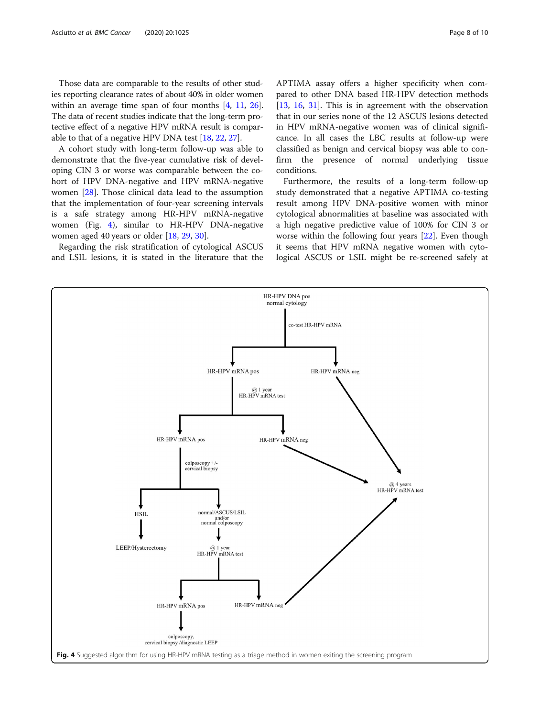<span id="page-7-0"></span>Those data are comparable to the results of other studies reporting clearance rates of about 40% in older women within an average time span of four months [[4,](#page-8-0) [11,](#page-9-0) [26](#page-9-0)]. The data of recent studies indicate that the long-term protective effect of a negative HPV mRNA result is comparable to that of a negative HPV DNA test [\[18](#page-9-0), [22](#page-9-0), [27\]](#page-9-0).

A cohort study with long-term follow-up was able to demonstrate that the five-year cumulative risk of developing CIN 3 or worse was comparable between the cohort of HPV DNA-negative and HPV mRNA-negative women [[28](#page-9-0)]. Those clinical data lead to the assumption that the implementation of four-year screening intervals is a safe strategy among HR-HPV mRNA-negative women (Fig. 4), similar to HR-HPV DNA-negative women aged 40 years or older [\[18](#page-9-0), [29](#page-9-0), [30](#page-9-0)].

Regarding the risk stratification of cytological ASCUS and LSIL lesions, it is stated in the literature that the APTIMA assay offers a higher specificity when compared to other DNA based HR-HPV detection methods [[13,](#page-9-0) [16,](#page-9-0) [31](#page-9-0)]. This is in agreement with the observation that in our series none of the 12 ASCUS lesions detected in HPV mRNA-negative women was of clinical significance. In all cases the LBC results at follow-up were classified as benign and cervical biopsy was able to confirm the presence of normal underlying tissue conditions.

Furthermore, the results of a long-term follow-up study demonstrated that a negative APTIMA co-testing result among HPV DNA-positive women with minor cytological abnormalities at baseline was associated with a high negative predictive value of 100% for CIN 3 or worse within the following four years [\[22](#page-9-0)]. Even though it seems that HPV mRNA negative women with cytological ASCUS or LSIL might be re-screened safely at

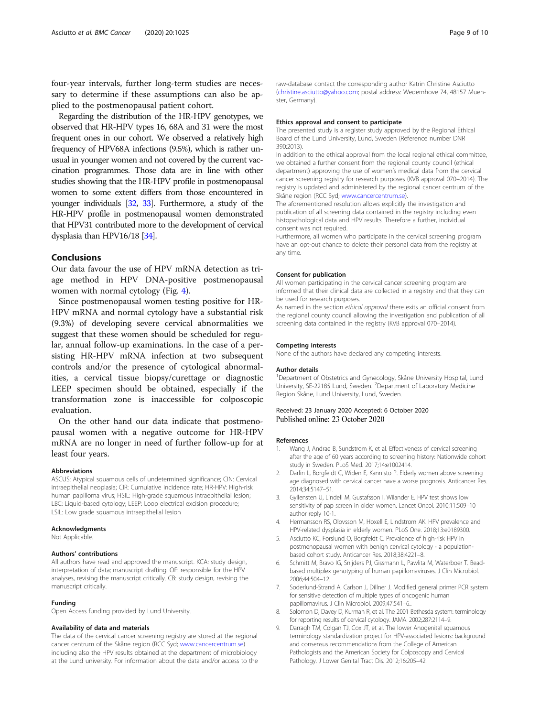<span id="page-8-0"></span>four-year intervals, further long-term studies are necessary to determine if these assumptions can also be applied to the postmenopausal patient cohort.

Regarding the distribution of the HR-HPV genotypes, we observed that HR-HPV types 16, 68A and 31 were the most frequent ones in our cohort. We observed a relatively high frequency of HPV68A infections (9.5%), which is rather unusual in younger women and not covered by the current vaccination programmes. Those data are in line with other studies showing that the HR-HPV profile in postmenopausal women to some extent differs from those encountered in younger individuals [\[32](#page-9-0), [33](#page-9-0)]. Furthermore, a study of the HR-HPV profile in postmenopausal women demonstrated that HPV31 contributed more to the development of cervical dysplasia than HPV16/18 [\[34](#page-9-0)].

# Conclusions

Our data favour the use of HPV mRNA detection as triage method in HPV DNA-positive postmenopausal women with normal cytology (Fig. [4](#page-7-0)).

Since postmenopausal women testing positive for HR-HPV mRNA and normal cytology have a substantial risk (9.3%) of developing severe cervical abnormalities we suggest that these women should be scheduled for regular, annual follow-up examinations. In the case of a persisting HR-HPV mRNA infection at two subsequent controls and/or the presence of cytological abnormalities, a cervical tissue biopsy/curettage or diagnostic LEEP specimen should be obtained, especially if the transformation zone is inaccessible for colposcopic evaluation.

On the other hand our data indicate that postmenopausal women with a negative outcome for HR-HPV mRNA are no longer in need of further follow-up for at least four years.

#### Abbreviations

ASCUS: Atypical squamous cells of undetermined significance; CIN: Cervical intraepithelial neoplasia; CIR: Cumulative incidence rate; HR-HPV: High-risk human papilloma virus; HSIL: High-grade squamous intraepithelial lesion; LBC: Liquid-based cytology; LEEP: Loop electrical excision procedure; LSIL: Low grade squamous intraepithelial lesion

#### Acknowledgments

Not Applicable.

#### Authors' contributions

All authors have read and approved the manuscript. KCA: study design, interpretation of data; manuscript drafting. OF: responsible for the HPV analyses, revising the manuscript critically. CB: study design, revising the manuscript critically.

#### Funding

Open Access funding provided by Lund University.

#### Availability of data and materials

The data of the cervical cancer screening registry are stored at the regional cancer centrum of the Skåne region (RCC Syd; [www.cancercentrum.se\)](http://www.cancercentrum.se) including also the HPV results obtained at the department of microbiology at the Lund university. For information about the data and/or access to the

raw-database contact the corresponding author Katrin Christine Asciutto ([christine.asciutto@yahoo.com](mailto:christine.asciutto@yahoo.com); postal address: Wedemhove 74, 48157 Muenster, Germany).

#### Ethics approval and consent to participate

The presented study is a register study approved by the Regional Ethical Board of the Lund University, Lund, Sweden (Reference number DNR 390:2013).

In addition to the ethical approval from the local regional ethical committee, we obtained a further consent from the regional county council (ethical department) approving the use of women's medical data from the cervical cancer screening registry for research purposes (KVB approval 070–2014). The registry is updated and administered by the regional cancer centrum of the Skåne region (RCC Syd; [www.cancercentrum.se\)](http://www.cancercentrum.se).

The aforementioned resolution allows explicitly the investigation and publication of all screening data contained in the registry including even histopathological data and HPV results. Therefore a further, individual consent was not required.

Furthermore, all women who participate in the cervical screening program have an opt-out chance to delete their personal data from the registry at any time.

#### Consent for publication

All women participating in the cervical cancer screening program are informed that their clinical data are collected in a registry and that they can be used for research purposes.

As named in the section ethical approval there exits an official consent from the regional county council allowing the investigation and publication of all screening data contained in the registry (KVB approval 070–2014).

#### Competing interests

None of the authors have declared any competing interests.

#### Author details

<sup>1</sup>Department of Obstetrics and Gynecology, Skåne University Hospital, Lund University, SE-22185 Lund, Sweden. <sup>2</sup>Department of Laboratory Medicine Region Skåne, Lund University, Lund, Sweden.

#### Received: 23 January 2020 Accepted: 6 October 2020 Published online: 23 October 2020

#### References

- 1. Wang J, Andrae B, Sundstrom K, et al. Effectiveness of cervical screening after the age of 60 years according to screening history: Nationwide cohort study in Sweden. PLoS Med. 2017;14:e1002414.
- 2. Darlin L, Borgfeldt C, Widen E, Kannisto P. Elderly women above screening age diagnosed with cervical cancer have a worse prognosis. Anticancer Res. 2014;34:5147–51.
- 3. Gyllensten U, Lindell M, Gustafsson I, Wilander E. HPV test shows low sensitivity of pap screen in older women. Lancet Oncol. 2010;11:509–10 author reply 10-1.
- 4. Hermansson RS, Olovsson M, Hoxell E, Lindstrom AK. HPV prevalence and HPV-related dysplasia in elderly women. PLoS One. 2018;13:e0189300.
- 5. Asciutto KC, Forslund O, Borgfeldt C. Prevalence of high-risk HPV in postmenopausal women with benign cervical cytology - a populationbased cohort study. Anticancer Res. 2018;38:4221–8.
- 6. Schmitt M, Bravo IG, Snijders PJ, Gissmann L, Pawlita M, Waterboer T. Beadbased multiplex genotyping of human papillomaviruses. J Clin Microbiol. 2006;44:504–12.
- Soderlund-Strand A, Carlson J, Dillner J. Modified general primer PCR system for sensitive detection of multiple types of oncogenic human papillomavirus. J Clin Microbiol. 2009;47:541–6..
- 8. Solomon D, Davey D, Kurman R, et al. The 2001 Bethesda system: terminology for reporting results of cervical cytology. JAMA. 2002;287:2114–9.
- 9. Darragh TM, Colgan TJ, Cox JT, et al. The lower Anogenital squamous terminology standardization project for HPV-associated lesions: background and consensus recommendations from the College of American Pathologists and the American Society for Colposcopy and Cervical Pathology. J Lower Genital Tract Dis. 2012;16:205–42.